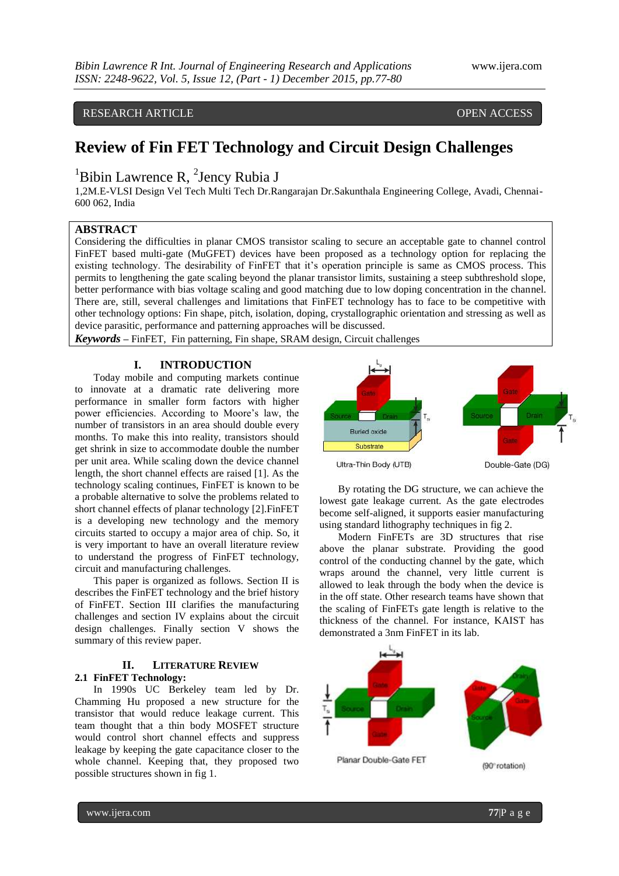## RESEARCH ARTICLE **CONSERVERS** OPEN ACCESS

# **Review of Fin FET Technology and Circuit Design Challenges**

# ${}^{1}$ Bibin Lawrence R,  ${}^{2}$ Jency Rubia J

1,2M.E-VLSI Design Vel Tech Multi Tech Dr.Rangarajan Dr.Sakunthala Engineering College, Avadi, Chennai-600 062, India

## **ABSTRACT**

Considering the difficulties in planar CMOS transistor scaling to secure an acceptable gate to channel control FinFET based multi-gate (MuGFET) devices have been proposed as a technology option for replacing the existing technology. The desirability of FinFET that it's operation principle is same as CMOS process. This permits to lengthening the gate scaling beyond the planar transistor limits, sustaining a steep subthreshold slope, better performance with bias voltage scaling and good matching due to low doping concentration in the channel. There are, still, several challenges and limitations that FinFET technology has to face to be competitive with other technology options: Fin shape, pitch, isolation, doping, crystallographic orientation and stressing as well as device parasitic, performance and patterning approaches will be discussed.

*Keywords* **–** FinFET, Fin patterning, Fin shape, SRAM design, Circuit challenges

#### **I. INTRODUCTION**

Today mobile and computing markets continue to innovate at a dramatic rate delivering more performance in smaller form factors with higher power efficiencies. According to Moore's law, the number of transistors in an area should double every months. To make this into reality, transistors should get shrink in size to accommodate double the number per unit area. While scaling down the device channel length, the short channel effects are raised [1]. As the technology scaling continues, FinFET is known to be a probable alternative to solve the problems related to short channel effects of planar technology [2].FinFET is a developing new technology and the memory circuits started to occupy a major area of chip. So, it is very important to have an overall literature review to understand the progress of FinFET technology, circuit and manufacturing challenges.

This paper is organized as follows. Section II is describes the FinFET technology and the brief history of FinFET. Section III clarifies the manufacturing challenges and section IV explains about the circuit design challenges. Finally section V shows the summary of this review paper.

### **II. LITERATURE REVIEW 2.1 FinFET Technology:**

In 1990s UC Berkeley team led by Dr. Chamming Hu proposed a new structure for the transistor that would reduce leakage current. This team thought that a thin body MOSFET structure would control short channel effects and suppress leakage by keeping the gate capacitance closer to the whole channel. Keeping that, they proposed two possible structures shown in fig 1.



By rotating the DG structure, we can achieve the lowest gate leakage current. As the gate electrodes become self-aligned, it supports easier manufacturing using standard lithography techniques in fig 2.

Modern FinFETs are 3D structures that rise above the planar substrate. Providing the good control of the conducting channel by the gate, which wraps around the channel, very little current is allowed to leak through the body when the device is in the off state. Other research teams have shown that the scaling of FinFETs gate length is relative to the thickness of the channel. For instance, KAIST has demonstrated a 3nm FinFET in its lab.

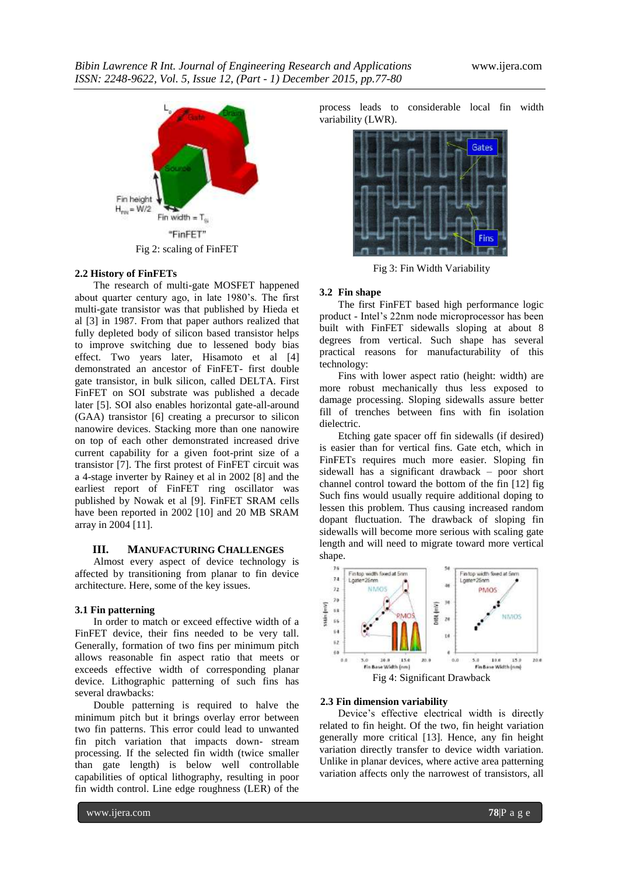

#### **2.2 History of FinFETs**

The research of multi-gate MOSFET happened about quarter century ago, in late 1980's. The first multi-gate transistor was that published by Hieda et al [3] in 1987. From that paper authors realized that fully depleted body of silicon based transistor helps to improve switching due to lessened body bias effect. Two years later, Hisamoto et al [4] demonstrated an ancestor of FinFET- first double gate transistor, in bulk silicon, called DELTA. First FinFET on SOI substrate was published a decade later [5]. SOI also enables horizontal gate-all-around (GAA) transistor [6] creating a precursor to silicon nanowire devices. Stacking more than one nanowire on top of each other demonstrated increased drive current capability for a given foot-print size of a transistor [7]. The first protest of FinFET circuit was a 4-stage inverter by Rainey et al in 2002 [8] and the earliest report of FinFET ring oscillator was published by Nowak et al [9]. FinFET SRAM cells have been reported in 2002 [10] and 20 MB SRAM array in 2004 [11].

#### **III. MANUFACTURING CHALLENGES**

Almost every aspect of device technology is affected by transitioning from planar to fin device architecture. Here, some of the key issues.

#### **3.1 Fin patterning**

In order to match or exceed effective width of a FinFET device, their fins needed to be very tall. Generally, formation of two fins per minimum pitch allows reasonable fin aspect ratio that meets or exceeds effective width of corresponding planar device. Lithographic patterning of such fins has several drawbacks:

Double patterning is required to halve the minimum pitch but it brings overlay error between two fin patterns. This error could lead to unwanted fin pitch variation that impacts down- stream processing. If the selected fin width (twice smaller than gate length) is below well controllable capabilities of optical lithography, resulting in poor fin width control. Line edge roughness (LER) of the

process leads to considerable local fin width variability (LWR).



Fig 3: Fin Width Variability

#### **3.2 Fin shape**

The first FinFET based high performance logic product - Intel's 22nm node microprocessor has been built with FinFET sidewalls sloping at about 8 degrees from vertical. Such shape has several practical reasons for manufacturability of this technology:

Fins with lower aspect ratio (height: width) are more robust mechanically thus less exposed to damage processing. Sloping sidewalls assure better fill of trenches between fins with fin isolation dielectric.

Etching gate spacer off fin sidewalls (if desired) is easier than for vertical fins. Gate etch, which in FinFETs requires much more easier. Sloping fin sidewall has a significant drawback – poor short channel control toward the bottom of the fin [12] fig Such fins would usually require additional doping to lessen this problem. Thus causing increased random dopant fluctuation. The drawback of sloping fin sidewalls will become more serious with scaling gate length and will need to migrate toward more vertical shape.



#### **2.3 Fin dimension variability**

Device's effective electrical width is directly related to fin height. Of the two, fin height variation generally more critical [13]. Hence, any fin height variation directly transfer to device width variation. Unlike in planar devices, where active area patterning variation affects only the narrowest of transistors, all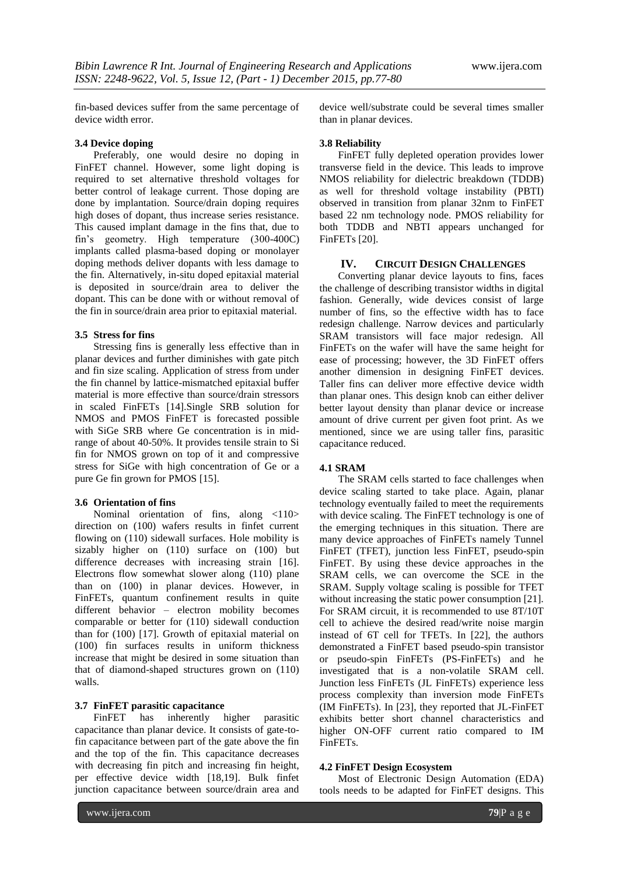fin-based devices suffer from the same percentage of device width error.

#### **3.4 Device doping**

Preferably, one would desire no doping in FinFET channel. However, some light doping is required to set alternative threshold voltages for better control of leakage current. Those doping are done by implantation. Source/drain doping requires high doses of dopant, thus increase series resistance. This caused implant damage in the fins that, due to fin's geometry. High temperature (300-400C) implants called plasma-based doping or monolayer doping methods deliver dopants with less damage to the fin. Alternatively, in-situ doped epitaxial material is deposited in source/drain area to deliver the dopant. This can be done with or without removal of the fin in source/drain area prior to epitaxial material.

#### **3.5 Stress for fins**

Stressing fins is generally less effective than in planar devices and further diminishes with gate pitch and fin size scaling. Application of stress from under the fin channel by lattice-mismatched epitaxial buffer material is more effective than source/drain stressors in scaled FinFETs [14].Single SRB solution for NMOS and PMOS FinFET is forecasted possible with SiGe SRB where Ge concentration is in midrange of about 40-50%. It provides tensile strain to Si fin for NMOS grown on top of it and compressive stress for SiGe with high concentration of Ge or a pure Ge fin grown for PMOS [15].

#### **3.6 Orientation of fins**

Nominal orientation of fins, along <110> direction on (100) wafers results in finfet current flowing on (110) sidewall surfaces. Hole mobility is sizably higher on (110) surface on (100) but difference decreases with increasing strain [16]. Electrons flow somewhat slower along (110) plane than on (100) in planar devices. However, in FinFETs, quantum confinement results in quite different behavior – electron mobility becomes comparable or better for (110) sidewall conduction than for (100) [17]. Growth of epitaxial material on (100) fin surfaces results in uniform thickness increase that might be desired in some situation than that of diamond-shaped structures grown on (110) walls.

#### **3.7 FinFET parasitic capacitance**

FinFET has inherently higher parasitic capacitance than planar device. It consists of gate-tofin capacitance between part of the gate above the fin and the top of the fin. This capacitance decreases with decreasing fin pitch and increasing fin height, per effective device width [18,19]. Bulk finfet junction capacitance between source/drain area and

device well/substrate could be several times smaller than in planar devices.

### **3.8 Reliability**

FinFET fully depleted operation provides lower transverse field in the device. This leads to improve NMOS reliability for dielectric breakdown (TDDB) as well for threshold voltage instability (PBTI) observed in transition from planar 32nm to FinFET based 22 nm technology node. PMOS reliability for both TDDB and NBTI appears unchanged for FinFETs [20].

#### **IV. CIRCUIT DESIGN CHALLENGES**

Converting planar device layouts to fins, faces the challenge of describing transistor widths in digital fashion. Generally, wide devices consist of large number of fins, so the effective width has to face redesign challenge. Narrow devices and particularly SRAM transistors will face major redesign. All FinFETs on the wafer will have the same height for ease of processing; however, the 3D FinFET offers another dimension in designing FinFET devices. Taller fins can deliver more effective device width than planar ones. This design knob can either deliver better layout density than planar device or increase amount of drive current per given foot print. As we mentioned, since we are using taller fins, parasitic capacitance reduced.

#### **4.1 SRAM**

The SRAM cells started to face challenges when device scaling started to take place. Again, planar technology eventually failed to meet the requirements with device scaling. The FinFET technology is one of the emerging techniques in this situation. There are many device approaches of FinFETs namely Tunnel FinFET (TFET), junction less FinFET, pseudo-spin FinFET. By using these device approaches in the SRAM cells, we can overcome the SCE in the SRAM. Supply voltage scaling is possible for TFET without increasing the static power consumption [21]. For SRAM circuit, it is recommended to use 8T/10T cell to achieve the desired read/write noise margin instead of 6T cell for TFETs. In [22], the authors demonstrated a FinFET based pseudo-spin transistor or pseudo-spin FinFETs (PS-FinFETs) and he investigated that is a non-volatile SRAM cell. Junction less FinFETs (JL FinFETs) experience less process complexity than inversion mode FinFETs (IM FinFETs). In [23], they reported that JL-FinFET exhibits better short channel characteristics and higher ON-OFF current ratio compared to IM FinFETs.

#### **4.2 FinFET Design Ecosystem**

Most of Electronic Design Automation (EDA) tools needs to be adapted for FinFET designs. This